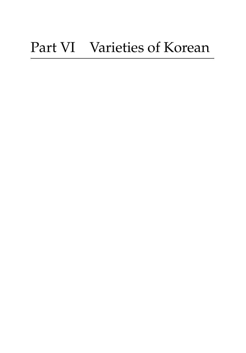# Part VI Varieties of Korean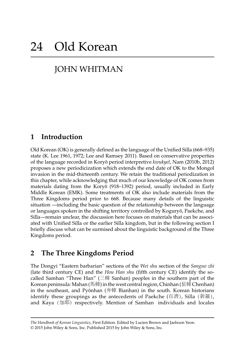#### Old Korean 24

## **JOHN WHITMAN**

## **1 Introduction**

Old Korean (OK) is generally defined as the language of the Unified Silla (668–935) state (K. Lee 1961, 1972; Lee and Ramsey 2011). Based on conservative properties of the language recorded in Koryŏ period interpretive *kwukyel*, Nam (2010b, 2012) proposes a new periodicization which extends the end date of OK to the Mongol invasion in the mid-thirteenth century. We retain the traditional periodization in this chapter, while acknowledging that much of our knowledge of OK comes from materials dating from the Koryŏ (918–1392) period, usually included in Early Middle Korean (EMK). Some treatments of OK also include materials from the Three Kingdoms period prior to 668. Because many details of the linguistic situation —including the basic question of the relationship between the language or languages spoken in the shifting territory controlled by Koguryŏ, Paekche, and Silla—remain unclear, the discussion here focuses on materials that can be associated with Unified Silla or the earlier Silla kingdom, but in the following section I briefly discuss what can be surmised about the linguistic background of the Three Kingdoms period.

## **2 The Three Kingdoms Period**

The Dongyi "Eastern barbarian" sections of the *Wei shu* section of the *Sanguo zhi* (late third century CE) and the *Hou Han shu* (fifth century CE) identify the socalled Samhan "Three Han" (三韓 Sanhan) peoples in the southern part of the Korean peninsula: Mahan (馬韓) in the west central region, Chinhan (辰韓 Chenhan) in the southeast, and Pyŏnhan (弁韓 Bianhan) in the south. Korean historians identify these groupings as the antecedents of Paekche (百濟), Silla (新羅), and Kaya  $(\text{Im} \mathbb{H})$  respectively. Mention of Samhan individuals and locales

*The Handbook of Korean Linguistics*, First Edition. Edited by Lucien Brown and Jaehoon Yeon. © 2015 John Wiley & Sons, Inc. Published 2015 by John Wiley & Sons, Inc.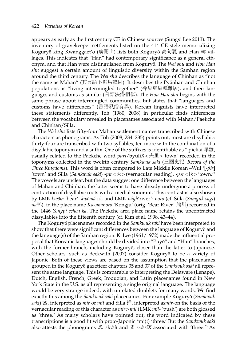appears as early as the first century CE in Chinese sources (Sungsi Lee 2013). The inventory of gravekeeper settlements listed on the 414 CE stele memorializing Koguryŏ king Kwanggaet'o (廣開土) lists both Koguryŏ 高句麗 and Han 韓 villages. This indicates that "Han" had contemporary significance as a general ethonym, and that Han were distinguished from Koguryŏ. The *Wei shu* and *Hou Han shu* suggest a certain amount of linguistic diversity within the Samhan region around the third century. The *Wei shu* describes the language of Chinhan as "not the same as Mahan" (其言語不與馬韓同). It describes the Pyŏnhan and Chinhan populations as "living intermingled together" (弁辰與辰韓雑居), and their languages and customs as similar (言語法俗相似). The *Hou Han shu* begins with the same phrase about intermingled communities, but states that "languages and customs have differences" (言語風俗有異). Korean linguists have interpreted these statements differently. Toh (1980, 2008) in particular finds differences between the vocabulary revealed in placenames associated with Mahan/Paekche and Chinhan/Silla.

The *Wei shu* lists fifty‐four Mahan settlement names transcribed with Chinese characters as phonograms. As Toh (2008, 234–235) points out, most are disyllabic: thirty‐four are transcribed with two syllables, ten more with the combination of a disyllabic toponym and a suffix. One of the suffixes is identifiable as \*‐pieliai 卑離, usually related to the Paekche word *puri*/byuliX<夫里>'town' recorded in the toponyms collected in the twelfth century *Samkwuk saki* (三國史記 *Record of the Three Kingdoms*). This word is often compared to Late Middle Korean –Wul 1 [‐*β*ɨ*r*] 'town' and Silla (*Samkwuk saki*) ‐*p*ɨ*r*<火>(vernacular reading), ‐*pər*<伐>'town.'2 The vowels are unclear, but the data suggest one difference between the languages of Mahan and Chinhan: the latter seems to have already undergone a process of contraction of disyllabic roots with a medial sonorant. This contrast is also shown by LMK *kwom*̆ 'bear': *kwòmá* id. and LMK *náyh*'river': *noro* (cf. Silla (*Samguk sagi*) *na*那), in the place name *Kwománoro* 'Kongju' (orig. 'Bear River' 熊川) recorded in the 1446 *Yongpi echen ka*. The Paekche area place name retains the uncontracted dissyllables into the fifteenth century (cf. Kim et al. 1998, 43–44).

The Koguryŏ placenames recorded in the *Samkwuk saki* have been interpreted to show that there were significant differences between the language of Koguryŏ and the language(s) of the Samhan region. K. Lee (1961/1972) made the influential proposal that Koreanic languages should be divided into "Puyŏ" and "Han" branches, with the former branch, including Koguryŏ, closer than the latter to Japanese. Other scholars, such as Beckwith (2007) consider Koguryŏ to be a variety of Japonic. Both of these views are based on the assumption that the placenames grouped in the Koguryŏ gazetteer chapters 35 and 37 of the *Samkwuk saki* all represent the same language. This is comparable to interpreting the Delaware (Lenape), Dutch, English, French, Greek, Iroquoian, and Latin placenames found in New York State in the U.S. as all representing a single original language. The language would be very strange indeed, with unrelated doublets for many words. We find exactly this among the *Samkwuk saki* placenames. For example Koguryŏ (*Samkwuk saki*) 蜜, interpreted as *mir* or *mit* and Silla 推, interpreted as*mir*‐on the basis of the vernacular reading of this character as *mir*>*mil* (LMK *mil*‐ 'push') are both glossed as 'three.' As many scholars have pointed out, the word indicated by these transcriptions is a good fit with proto‐Japonic \*mi(t) 'three.' But the *Samkwuk saki* also attests the phonograms 悉 *sir/sit* and 史 *sʌ/sriX* associated with 'three.'3 As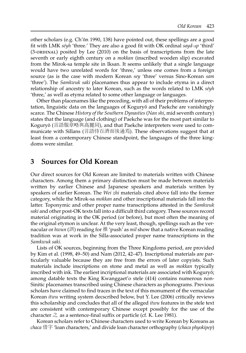other scholars (e.g. Ch'ŏn 1990, 138) have pointed out, these spellings are a good fit with LMK *séyh* 'three.' They are also a good fit with OK ordinal *sayd‐ʌp* 'third' (3‐ordinal) posited by Lee (2010) on the basis of transcriptions from the late seventh or early eighth century on a *mokkan* (inscribed wooden slip) excavated from the Mirok‐sa temple site in Iksan. It seems unlikely that a single language would have two unrelated words for 'three,' unless one comes from a foreign source (as is the case with modern Korean *sey* 'three' versus Sino‐Korean *sam* 'three'). The *Samkwuk saki* placenames thus appear to include etyma in a direct relationship of ancestry to later Korean, such as the words related to LMK *séyh* 'three,' as well as etyma related to some other language or languages.

Other than placenames like the preceding, with all of their problems of interpretation, linguistic data on the languages of Koguryŏ and Paekche are vanishingly scarce. The Chinese *History of the Southern Dynasties* (*Nan shi*, mid seventh century) states that the language (and clothing) of Paekche was for the most part similar to Koguryŏ (言語服章略與高麗同), and that Paekche interpreters were used to communicate with Sillans (言語待百濟而後通焉). These observations suggest that at least from a contemporary Chinese standpoint, the languages of the three kingdoms were similar.

## **3 Sources for Old Korean**

Our direct sources for Old Korean are limited to materials written with Chinese characters. Among them a primary distinction must be made between materials written by earlier Chinese and Japanese speakers and materials written by speakers of earlier Korean. The *Wei zhi* materials cited above fall into the former category, while the Mirok‐sa *mokkan* and other inscriptional materials fall into the latter. Toponymic and other proper name transcriptions attested in the *Samkwuk saki* and other post‐OK texts fall into a difficult third category. These sources record material originating in the OK period (or before), but most often the meaning of the original etymon is unclear. At the very least, though, spellings such as the vernacular or *hwun* (訓) reading for 推 'push' as *mil* show that a native Korean reading tradition was at work in the Silla‐associated proper name transcriptions in the *Samkwuk saki*.

Lists of OK sources, beginning from the Three Kingdoms period, are provided by Kim et al. (1998, 49–50) and Nam (2012, 42–47). Inscriptional materials are particularly valuable because they are free from the errors of later copyists. Such materials include inscriptions on stone and metal as well as *mokkan* typically inscribed with ink. The earliest incriptional materials are associated with Koguryŏ; among datable texts the King Kwanggaet'o stele (414) contains numerous non‐ Sinitic placenames transcribed using Chinese characters as phonograms. Previous scholars have claimed to find traces in the text of this monument of the vernacular Korean *itwu* writing system decscribed below, but Y. Lee (2006) critically reviews this scholarship and concludes that all of the alleged *itwu* features in the stele text are consistent with contemporary Chinese except possibly for the use of the character  $\dot{\mathcal{Z}}$  as a sentence-final suffix or particle (cf. K. Lee 1981).

Korean scholars refer to Chinese characters used to write Korean by Koreans as *chaca* 借字 'loan characters,' and divide loan character orthography (*chaca phyokipep*)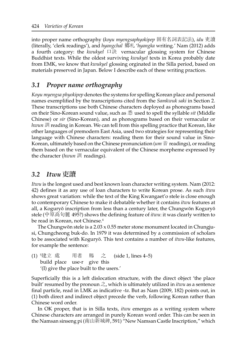into proper name orthography (*koyu myengsaphyokipep* 固有名詞表記法), *idu* 吏讀 (literally, 'clerk readings'), and *hyangchal* 郷札 '*hyangka* writing.' Nam (2012) adds a fourth category: the *kwukyel* 口訣 vernacular glossing system for Chinese Buddhist texts. While the oldest surviving *kwukyel* texts in Korea probably date from EMK, we know that *kwukyel* glossing orginated in the Silla period, based on materials preserved in Japan. Below I describe each of these writing practices.

## *3.1 Proper name orthography*

*Koyu myengsa phyokipep* denotes the systems for spelling Korean place and personal names exemplified by the transcriptions cited from the *Samkwuk saki* in Section 2. These transcriptions use both Chinese characters deployed as phonograms based on their Sino‐Korean sound value, such as 悉 used to spell the syllable *sit* (Middle Chinese) or *sir* (Sino‐Korean), and as phonograms based on their vernacular or *hwun* 訓 reading in Korean. We can tell from this spelling practice that Korean, like other languages of premodern East Asia, used two strategies for representing their language with Chinese characters: reading them for their sound value in Sino-Korean, ultimately based on the Chinese pronunciation (*um* 音 readings), or reading them based on the vernacular equivalent of the Chinese morpheme expressed by the character (*hwun* 訓 readings).

## *3.2 Itwu* **吏讀**

*Itwu* is the longest used and best known loan character writing system. Nam (2012: 42) defines it as any use of loan characters to write Korean prose. As such *itwu* shows great variation: while the text of the King Kwangaet'o stele is close enough to contemporary Chinese to make it debatable whether it contains *itwu* features at all, a Koguryŏ inscription from less than a century later, the Chungwŏn Koguryŏ stele (中原高句麗 495?) shows the defining feature of *itwu*: it was clearly written to be read in Korean, not Chinese.<sup>4</sup>

The Chungwŏn stele is a  $2.03 \times 0.55$  meter stone monument located in Chungjusi, Chungcheong buk‐do. In 1979 it was determined by a commission of scholars to be associated with Koguryŏ. This text contains a number of *itwu*‐like features, for example the sentence:

(1) 6建立 處 用者 賜 之 (side 1, lines 4–5) build place use‐r give this '(I) give the place built to the users.'

Superficially this is a left dislocation structure, with the direct object 'the place built' resumed by the pronoun 之, which is ultimately utilized in *itwu* as a sentence final particle, read in LMK as indicative ‐*ta*. But as Nam (2009, 182) points out, in (1) both direct and indirect object precede the verb, following Korean rather than Chinese word order.

In OK proper, that is in Silla texts, *itwu* emerges as a writing system where Chinese characters are arranged in purely Korean word order. This can be seen in the Namsan sinseng pi (南山新城碑, 591) "New Namsan Castle Inscription," which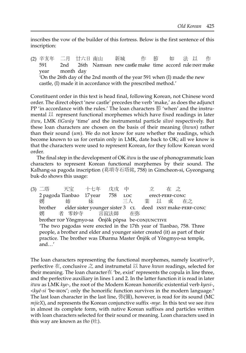inscribes the vow of the builder of this fortress. Below is the first sentence of this inscription:

(2) 辛亥年 二月 廿六日 南山 新城 作 節 如 法 以 作 591 year 2nd month day 26th Namsan new castle make time accord rule inst make 'On the 26th day of the 2nd month of the year 591 when (I) made the new castle, (I) made it in accordance with the prescribed method.'

Constituent order in this text is head final, following Korean, not Chinese word order. The direct object 'new castle' precedes the verb 'make,' as does the adjunct PP 'in accordance with the rules.' The loan characters 節 'when' and the instrumental 以 represent functional morphemes which have fixed readings in later *itwu*, LMK *tìGwúy* 'time' and the instrumental particle *úlwó* respectively. But these loan characters are chosen on the basis of their meaning (*hwun*) rather than their sound (*um*). We do not know for sure whether the readings, which become known to us for certain only in LMK, date back to OK; all we know is that the characters were used to represent Korean, for they follow Korean word order.

The final step in the development of OK *itwu* is the use of phonogrammatic loan characters to represent Korean functional morphemes by their sound. The Kalhang‐sa pagoda inscription (葛項寺石塔銘, 758) in Gimcheon‐si, Gyeongsang buk‐do shows this usage:

(3) 二塔 天宝 十七年 戊戌 中 立 在 之 2 pagoda Tianbao 17 year 758 LOC erect-PERF-CONC 娚 姉 妹 三人 業 以 成 在之 brother elder sister younger sister 3 cl deed INST make-PERF-CONC 娚 者 零妙寺 言寂法師 在弥 brother top Yŏngmyo‐sa Ŏnjŏk pŏpsa be‐conjunctive 'The two pagodas were erected in the 17th year of Tianbao, 758. Three people, a brother and elder and younger sister created (it) as part of their practice. The brother was Dharma Master Ŏnjŏk of Yŏngmyo‐sa temple, and…'

The loan characters representing the functional morphemes, namely locative中, perfective 在, conclusive 之 and instrumetal 以 have *hwun* readings, selected for their meaning. The loan character $\pm$  'be, exist' represents the copula in line three, and the perfective auxiliary in lines 1 and 2. In the latter function it is read in later *itwu* as LMK *kye*-, the root of the Modern Korean honorific existential verb *kyesi*-, <*kyě‐si* 'be‐hon'; only the honorific function survives in the modern language.6 The last loan character in the last line, 弥(彌), however, is read for its sound (MC *mjieX*), and represents the Korean conjunctive suffix ‐*mye*. In this text we see *itwu* in almost its complete form, with native Korean suffixes and particles written with loan characters selected for their sound or meaning. Loan characters used in this way are known as *tho* (吐).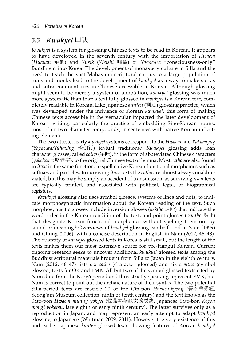### *3.3 Kwukyel* **口訣**

*Kwukyel* is a system for glossing Chinese texts to be read in Korean. It appears to have developed in the seventh century with the importation of *Hwaem* (*Huayan* 華嚴) and *Yusik* (*Weishi* 唯識) or *Yogācāra* "consciousness‐only" Buddhism into Korea. The development of monastery culture in Silla and the need to teach the vast Mahayana scriptural corpus to a large population of nuns and monks lead to the development of *kwukyel* as a way to make sutras and sutra commentaries in Chinese accessible in Korean. Although glossing might seem to be merely a system of annotation, *kwukyel* glossing was much more systematic than that: a text fully glossed in *kwukyel* is a Korean text, completely readable in Korean. Like Japanese *kunten* (訓点) glossing practice, which was developed under the influence of Korean *kwukyel*, this form of making Chinese texts accessible in the vernacular impacted the later development of Korean writing, paricularly the practice of embedding Sino-Korean nouns, most often two character compounds, in sentences with native Korean inflecting elements.

The two attested early *kwukyel* systems correspond to the *Hwaem* and *Yukahayng* (*Yogācāra/Yújiāxíng* 瑜伽行) textual traditions.7 *Kwukyel* glossing adds loan character glosses, called *catho* (字吐), in the form of abbreviated Chinese characters (*yakcheyca* 略體字), to the original Chinese text or lemma. Most *catho* are also found in *itwu* in the same function, to spell native Korean functional morphemes such as suffixes and particles. In surviving *itwu* texts the *catho* are almost always unabbreviated, but this may be simply an accident of transmission, as surviving *itwu* texts are typically printed, and associated with political, legal, or biographical registers.

*Kwukyel* glossing also uses symbol glosses, systems of lines and dots, to indicate morphosyntactic information about the Korean reading of the text. Such morphosyntactic glosses include inversion glosses (*yektho* 逆吐) that indicate the word order in the Korean rendition of the text, and point glosses (*cemtho* 點吐) that designate Korean functional morphemes without spelling them out by sound or meaning.8 Overviews of *kwukyel* glossing can be found in Nam (1999) and Chung (2006), with a concise description in English in Nam (2012, 46–48). The quantity of *kwukyel* glossed texts in Korea is still small, but the length of the texts makes them our most extensive source for pre‐Hangul Korean. Current ongoing research seeks to uncover additional *kwukyel* glossed texts among the Buddhist scriptural materials brought from Silla to Japan in the eighth century. Nam (2012, 46–47) lists six *catho* (character glossed) and six *cemtho* (symbol glossed) texts for OK and EMK. All but two of the symbol glossed texts cited by Nam date from the Koryŏ period and thus strictly speaking represent EMK, but Nam is correct to point out the archaic nature of their syntax. The two potential Silla‐period texts are fascicle 20 of the Cin‐pon *Hwaem‐kyeng* (晉本華嚴經, Seong'am Museum collection, ninth or tenth century) and the text known as the Sato‐pon *Hwaem munuy yokyel* (佐藤本華嚴文義要訣, Japanese Satō‐bon *Kegon mongi yōketsu*, late eighth or early ninth century). The latter survives only as a reproduction in Japan, and may represent an early attempt to adapt *kwukyel* glossing to Japanese (Whitman 2009, 2011). However the very existence of this and earlier Japanese *kunten* glossed texts showing features of Korean *kwukyel*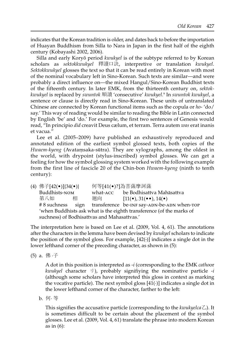indicates that the Korean tradition is older, and dates back to before the importation of Huayan Buddhism from Silla to Nara in Japan in the first half of the eighth century (Kobayashi 2002, 2006).

Silla and early Koryŏ period *kwukyel* is of the subtype referred to by Korean scholars as *sektokkwukyel* 釋讀口訣, interpretive or translation *kwukyel*. *Sektokkwukyel* glosses the text so that it can be read entirely in Korean with most of the nominal vocabulary left in Sino‐Korean. Such texts are similar—and were probably a direct influence on—the mixed Hangul/Sino‐Korean Buddhist texts of the fifteenth century. In later EMK, from the thirteenth century on, *sektokkwukyel* is replaced by *swuntok* 順讀 'consecutive' *kwukyel.*<sup>9</sup> In *swuntok kwukyel*, a sentence or clause is directly read in Sino‐Korean. These units of untranslated Chinese are connected by Korean functional items such as the copula or *ho*‐ 'do/ say.' This way of reading would be similar to reading the Bible in Latin connected by English 'be' and 'do.' For example, the first two sentences of Genesis would read, "In principio *did* creavit Deus cælum, et terram. Terra autem *was* erat inanis et vacua."

Lee et al. (2005–2009) have published an exhaustively reproduced and annotated edition of the earliest symbol glossed texts, both copies of the *Hwaem‐kyeng* (Avataṃsaka‐sūtra). They are xylographs, among the oldest in the world, with drypoint (stylus‐inscribed) symbol glosses. We can get a feeling for how the symbol glossing system worked with the following example from the first line of fascicle 20 of the Chin‐bon *Hwaem‐kyeng* (ninth to tenth century):

(4) 佛子[42(•)]{34(•)} 何等[41(•)?]為菩薩摩訶薩 Buddhists‐nom what‐acc be Bodhisattva Mahāsattva 第八如 相 廻向  $[11(\bullet), 31(\bullet \bullet), 14(\bullet)]$ #8 suchness sign transference be-INF say-ADN-be-ADN when-TOP 'when Buddhists ask what is the eighth transference (of the marks of suchness) of Bodhisattvas and Mahasattvas.'

The interpretation here is based on Lee et al. (2009, Vol. 4, 61). The annotations after the characters in the lemma have been devised by *kwukyel* scholars to indicate the position of the symbol gloss. For example, [42(**∙**)] indicates a single dot in the lower lefthand corner of the preceding character, as shown in (5):

(5) a. 佛 ∙子

A dot in this position is interpreted as ‐*i* (corresponding to the EMK *catho*or *kwukyel* character リ), probably signifiying the nominative particle ‐*i* (although some scholars have interpreted this gloss in context as marking the vocative particle). The next symbol gloss [41(∙)] indicates a single dot in the lower lefthand corner of the character, farther to the left:

b. 何∙ 等

This signifies the accusative particle (corresponding to the  $kwukyelea\mathbb{Z}$ ). It is sometimes difficult to be certain about the placement of the symbol glosses. Lee et al. (2009, Vol. 4, 61) translate the phrase into modern Korean as in (6):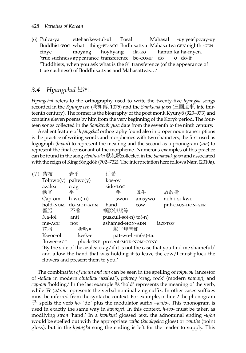(6) Pulca‐ya ettehankes‐tul‐ul Posal Mahasal ‐uy yetelpccay‐uy Buddhist-voc what thing-pl-ACC Bodhisattva Mahasattva GEN eighth -GEN cinye moyang hoyhyang ila‐ko hanun ka ha‐myen. 'true suchness appearance transference be- $\overline{conv}$  do q do-if 'Buddhists, when you ask what is the  $8<sup>th</sup>$  transference (of the appearance of true suchness) of Boddhisattvas and Mahasattvas…'

#### *3.4 Hyangchal* 郷札

*Hyangchal* refers to the orthography used to write the twenty‐five *hyangka* songs recorded in the *Kyunye cen* (均如傳, 1075) and the *Samkwuk yusa* (三國遺事, late thirteenth century). The former is the biography of the poet monk Kyunyŏ (923–973) and contains eleven poems by him from the very beginning of the Koryŏ period. The fourteen songs collected in the *Samkwuk yusa* date from the seventh to the ninth century.

A salient feature of *hyangchal* orthography found also in proper noun transcriptions is the practice of writing words and morphemes with two characters, the first used as logograph (*hwun*) to represent the meaning and the second as a phonogram (*um*) to represent the final consonant of the morpheme. Numerous examples of this practice can be found in the song *Henhwaka* 獻花歌collected in the *Samkwuk yusa* and associated with the reign of King Sŏngdŏk (702–732). The interpretation here follows Nam (2010a).

| (7) | 紫布         | 岩乎                | 过希                    |        |                  |  |  |
|-----|------------|-------------------|-----------------------|--------|------------------|--|--|
|     | Tolywo(y)  | $\text{pahwo}(y)$ | kos-oy                |        |                  |  |  |
|     | azalea     | crag              | side-LOC              |        |                  |  |  |
|     | 執音         | 平                 | 手                     | 母牛     | 放教遣              |  |  |
|     | Cap-om     | $h$ -wo $(-n)$    | swon                  | amsywo | noh-i-si-kwo     |  |  |
|     | hold-NOM   | do-MOD-ADN        | hand                  | cow    | put-CAUS-HON-GER |  |  |
|     | 吾肹         | 不喩                | 慚肹伊賜等                 |        |                  |  |  |
|     | Na-lol     | anti              | puskuli-so(-n) to(-n) |        |                  |  |  |
|     | me-ACC     | not               | ashamed-HON-ADN       |        | fact-TOP         |  |  |
|     | 花脟         | 折叱可               | 獻乎理音如                 |        |                  |  |  |
|     | Kwoc-ol    | kesk-e            | pat-wo-li-m(-s)-ta.   |        |                  |  |  |
|     | flower-ACC | pluck-INF         | present-MOD-NOM-CONC  |        |                  |  |  |

'By the side of the azalea crag/if it is not the case that you find me shameful/ and allow the hand that was holding it to leave the cow/I must pluck the flowers and present them to you.'

The combina*tion of hwun and um* can be seen in the spelling of *tolpwoy* (ancestor of ‐*tallay* in modern *cintallay* 'azalea'), *pahwoy* 'crag, rock' (modern *pawuy*), and *cap‐om* 'holding.' In the last example 執 'hold' represents the meaning of the verb, while  $\frac{2}{\pi}$   $(u/e)m$  represents the verbal nominalizing suffix. In other cases suffixes must be inferred from the syntactic context. For example, in line 2 the phonogram 乎 spells the verb *ho*‐ 'do' plus the modulator suffix –*wu/o*‐. This phonogram is used in exactly the same way in *kwukyel*. In this context, *h‐wo*‐ must be taken as modifying *swon* 'hand.' In a *kwukyel* glossed text, the adnominal ending ‐*u/on* would be spelled out with the appropriate *catho* (*kwukyelca* gloss) or *cemtho* (point gloss), but in the *hyangka* song the ending is left for the reader to supply. This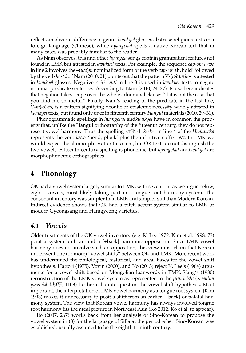reflects an obvious difference in genre: *kwukyel* glosses abstruse religious texts in a foreign language (Chinese), while *hyangchal* spells a native Korean text that in many cases was probably familiar to the reader.

As Nam observes, this and other *hyangka* songs contain grammatical features not found in LMK but attested in *kwukyel* texts. For example, the sequence *cap‐om h‐wo* in line 2 involves the –(*u/o*)*m* nominalized form of the verb *cap*‐ 'grab, hold' followed by the verb *ho*‐ 'do.' Nam (2010, 21) points out that the pattern V‐(*u/o*)*m ho*‐ is attested in *kwukyel* glosses. Negative 不喩 *anti* in line 3 is used in *kwukyel* texts to negate nominal predicate sentences. According to Nam (2010, 24–27) its use here indicates that negation takes scope over the whole adnominal clause: "if it is not the case that you find me shameful." Finally, Nam's reading of the predicate in the last line, V‐*m*(‐*s*)‐*ta*, is a pattern signifying deontic or epistemic necessity widely attested in *kwukyel* texts, but found only once in fifteenth century *Hangul* materials (2010, 29–31).

Phonogrammatic spellings in *hyangchal* and*kwukyel* have in common the property that, unlike the Hangul orthography of the fifteenth century, they do not represent vowel harmony. Thus the spelling 折叱可 *kesk‐e* in line 4 of the *Henhwaka* represents the verb *kesk*- 'bend, pluck' plus the infinitive suffix  $-e/a$ . In LMK we would expect the allomorph –*e* after this stem, but OK texts do not distinguish the two vowels. Fifteenth‐century spelling is phonemic, but *hyangchal* and*kwukyel* are morphophonemic orthographies.

## **4 Phonology**

OK had a vowel system largely similar to LMK, with seven—or as we argue below, eight—vowels, most likely taking part in a tongue root harmony system. The consonant inventory was simpler than LMK and simpler still than Modern Korean. Indirect evidence shows that OK had a pitch accent system similar to LMK or modern Gyeongsang and Hamgyeong varieties.

#### *4.1 Vowels*

Older treatments of the OK vowel inventory (e.g. K. Lee 1972; Kim et al. 1998, 73) posit a system built around a [±back] harmonic opposition. Since LMK vowel harmony does not involve such an opposition, this view must claim that Korean underwent one (or more) "vowel shifts" between OK and LMK. More recent work has undermined the philological, historical, and areal bases for the vowel shift hypothesis. Hattori (1975), Vovin (2000), and Ko (2013) reject K. Lee's (1964) arguments for a vowel shift based on Mongolian loanwords in EMK. Kang's (1980) reconstruction of the EMK vowel system as represented in the *Jīlín lèishì* (*Kyeylim yusa* 鷄林類事, 1103) further calls into question the vowel shift hypothesis. Most important, the interpretation of LMK vowel harmony as a tongue root system (Kim 1993) makes it unnecessary to posit a shift from an earlier [±back] or palatal harmony system. The view that Korean vowel harmony has always involved tongue root harmony fits the areal picture in Northeast Asia (Ko 2012; Ko et al. to appear).

Itō (2007, 267) works back from her analysis of Sino‐Korean to propose the vowel system in (8) for the language of Silla at the period when Sino‐Korean was established, usually assumed to be the eighth to ninth century.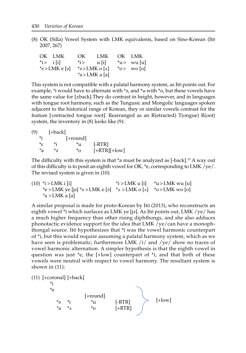(8) OK (Silla) Vowel System with LMK equivalents, based on Sino‐Korean (Itō 2007, 267)

| OK LMK                  | OK  | LMK -                  | OK LMK                     |
|-------------------------|-----|------------------------|----------------------------|
| $i>$ i [i]              | i > | u lil                  | $\alpha$ vu [u]            |
| * $\epsilon$ >LMK e [ə] |     | *ə>LMK o [ $\Lambda$ ] | $\sqrt[*]{\bullet}$ wo [o] |
|                         |     | $a > LMK$ a [a]        |                            |

This system is not compatible with a palatal harmony system, as Itō points out. For example, \*ɨ would have to alternate with \*ə, and \*u with \*o, but these vowels have the same value for [±back].They do contrast in height, however, and in languages with tongue root harmony, such as the Tungusic and Mongolic languages spoken adjacent to the historical range of Korean, they or similar vowels contrast for the feature [±retracted tongue root]. Rearranged as an R(etracted) T(ongue) R(oot) system, the inventory in (8) looks like (9):

| (9)               | [+back]           |             |                |
|-------------------|-------------------|-------------|----------------|
| *:                |                   | +round      |                |
| $*_{\mathcal{E}}$ | *:                | $*_{11}$    | [-RTR]         |
| *a                | $*_{\mathcal{L}}$ | $\lambda^*$ | $[+RTR][+low]$ |

The difficulty with this system is that  $*$ a must be analyzed as [-back].<sup>10</sup> A way out of this difficulty is to posit an eighth vowel for OK, \*e, corresponding to LMK /ye/. The revised system is given in (10):

(10)  $i > LMK$  i [i]  $i > TMK$  u [i]  $i > LMK$  wu [u] \*e > LMK ye [jə] \*ə > LMK e [ə] \* $\Lambda$  > LMK o [ $\Lambda$ ] \*o > LMK wo [o] *\**a >LMK a [a]

A similar proposal is made for proto‐Korean by Itō (2013), who reconstructs an eighth vowel \*ï which surfaces as LMK ye [jə]. As Itō points out, LMK /ye/ has a much higher frequency than other rising diphthongs, and she also adduces phonotactic evidence support for the idea that LMK /ye/can have a monophthongal source. Itō hypothesizes that \*ï was the vowel harmonic counterpart of \*i, but this would require assuming a palatal harmony system, which as we have seen is problematic; furthermore LMK  $/i/$  and  $/ye/$  show no traces of vowel harmonic alternation. A simpler hypothesis is that the eighth vowel in question was just \*e, the [+low] counterpart of \*i, and that both of these vowels were neutral with respect to vowel harmony. The resultant system is shown in (11):

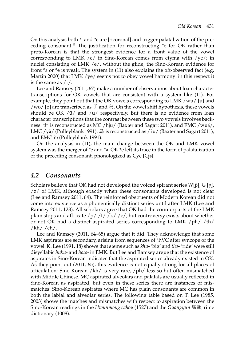On this analysis both \*i and \*e are [+coronal] and trigger palatalization of the preceding consonant.<sup>11</sup> The justification for reconstructing  $*$ e for OK rather than proto‐Korean is that the strongest evidence for a front value of the vowel corresponding to LMK /e/ in Sino-Korean comes from etyma with /ye/; in nuclei consisting of LMK /e/, without the glide, the Sino-Korean evidence for front \*ε or \*e is weak. The system in (11) also explains the oft‐observed fact (e.g. Martin 2000) that LMK /ye/ seems not to obey vowel harmony: in this respect it is the same as  $/i$ .

Lee and Ramsey (2011, 67) make a number of observations about loan character transcriptions for OK vowels that are consistent with a system like (11). For example, they point out that the OK vowels corresponding to LMK /wu/ [u] and /wo/ [o] are transcribed as  $\pm$  and  $\pm$ . On the vowel shift hypothesis, these vowels should be OK / $\ddot{u}$  and / $u$  respectively. But there is no evidence from loan character transcriptions that the contrast between these two vowels involves backness.  $\pm$  is reconstructed as MC /hju/ (Baxter and Sagart 2011), and EMC /wuă/, LMC /yǎ/ (Pulleyblank 1991). 鳥 is reconstructed as / $\frac{\partial u}{\partial x}$  (Baxter and Sagart 2011), and EMC ʔɔ (Pulleyblank 1991).

On the analysis in (11), the main change between the OK and LMK vowel system was the merger of \*e and \*ə. OK \*e left its trace in the form of palatalization of the preceding consonant, phonologized as Cye [Cjə].

#### *4.2 Consonants*

Scholars believe that OK had not developed the voiced spirant series W[β], G [γ],  $\sqrt{z}$  of LMK, although exactly when these consonants developed is not clear (Lee and Ramsey 2011, 64). The reinforced obstruents of Modern Korean did not come into existence as a phonemically distinct series until after LMK (Lee and Ramsey 2011, 128). All scholars agree that OK had the counterparts of the LMK plain stops and affricate /p/ /t/ /k/ /c/, but controversy exists about whether or not OK had a distinct aspirated series corresponding to LMK  $/ph/$  /th/  $/kh$  /  $\frac{ch}{.}$ 

Lee and Ramsey (2011, 64–65) argue that it did. They acknowledge that some LMK aspirates are secondary, arising from sequences of \*hVC after syncope of the vowel. K. Lee (1991, 18) shows that stems such as *khu*‐ 'big' and *tho*‐ 'ride' were still disysllabic *huku*‐ and *hoto*‐ in EMK. But Lee and Ramsey argue that the existence of aspirates in Sino‐Korean indicates that the aspirated series already existed in OK. As they point out (2011, 65), this evidence is not equally strong for all places of articulation: Sino‐Korean /kh/ is very rare, /ph/ less so but often mismatched with Middle Chinese. MC aspirated alveolars and palatals are usually reflected in Sino‐Korean as aspirated, but even in these series there are instances of mismatches. Sino‐Korean aspirates where MC has plain consonants are common in both the labial and alveolar series. The following table based on T. Lee (1985, 2003) shows the matches and mismatches with respect to aspiration between the Sino‐Korean readings in the *Hwunmong cahoy* (1527) and the *Guangyun* 廣韻 rime dictionary (1008).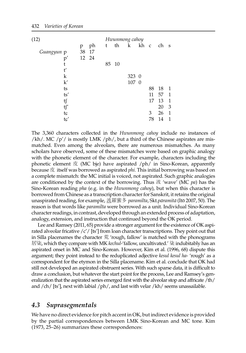| (12) |                |         | Hwunmong cahoy |   |       |         |      |    |    |                |
|------|----------------|---------|----------------|---|-------|---------|------|----|----|----------------|
|      | Guangyun p     | p<br>38 | ph<br>17       | t | th    | $\bf k$ | kh c |    | ch | <sub>S</sub>   |
|      | p′             |         | 12 24          |   |       |         |      |    |    |                |
|      | t              |         |                |   | 85 10 |         |      |    |    |                |
|      | ť              |         |                |   |       |         |      |    |    |                |
|      | k              |         |                |   |       | 323 0   |      |    |    |                |
|      | k'             |         |                |   |       | 107     | -0   |    |    |                |
|      | ts             |         |                |   |       |         |      | 88 | 18 | $\overline{1}$ |
|      | ts'            |         |                |   |       |         |      | 11 | 57 | 1              |
|      | tſ             |         |                |   |       |         |      | 17 | 13 | 1              |
|      | tf'            |         |                |   |       |         |      |    | 20 | 3              |
|      | tç             |         |                |   |       |         |      | 3  | 26 | $\mathbf{1}$   |
|      | $t \varsigma'$ |         |                |   |       |         |      | 78 | 14 | 1              |
|      |                |         |                |   |       |         |      |    |    |                |

The 3,360 characters collected in the *Hwunmong cahoy* include no instances of /kh/. MC /p'/ is mostly LMK /ph/, but a third of the Chinese aspirates are mismatched. Even among the alveolars, there are numerous mismatches. As many scholars have observed, some of these mismatches were based on graphic analogy with the phonetic element of the character. For example, characters including the phonetic element  $\&$  (MC bje) have aspirated /ph/ in Sino-Korean, apparently because 皮 itself was borrowed as aspirated *phi*. This initial borrowing was based on a complete mismatch: the MC initial is voiced, not aspirated. Such graphic analogies are conditioned by the context of the borrowing. Thus 波 'wave' (MC *pa*) has the Sino‐Korean reading *pha* (e.g. in the *Hwunmong cahoy*), but when this character is borrowed from Chinese as a transcription character for Sanskrit, it retains the original unaspirated reading, for example, 波羅蜜多 *paramilta*, Skt.*pāramitā* (Itō 2007, 50). The reason is that words like *paramilta* were borrowed as a unit. Individual Sino‐Korean character readings, in contrast, developed through an extended process of adaptation, analogy, extension, and instruction that continued beyond the OK period.

Lee and Ramsey (2011, 65) provide a stronger argument for the existence of OK aspirated alveolar fricative  $/c'/$  [ts'] from loan character transcriptions. They point out that in Silla placenames the character 荒 'rough, fallow' is matched with the phonograms 居柒, which they compare with MK *kechul*-'fallow, uncultivated.' 柒 indubitably has an aspirated onset in MC and Sino‐Korean. However, Kim et al. (1996, 68) dispute this argument; they point instead to the reduplicated adjective *kesul kesul ha*‐ 'rough' as a correspondent for the etymon in the Silla placename. Kim et al. conclude that OK had still not developed an aspirated obstruent series. With such sparse data, it is difficult to draw a conclusion, but whatever the start point for the process, Lee and Ramsey's generalization that the aspirated series emerged first with the alveolar stop and affricate /th/ and /ch/ [ts'], next with labial /ph/, and last with velar /kh/ seems unassailable.

#### *4.3 Suprasegmentals*

We have no direct evidence for pitch accent in OK, but indirect evidence is provided by the partial correspondences between LMK Sino‐Korean and MC tone. Kim (1973, 25–26) summarizes these correspondences: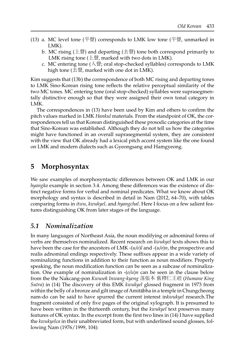- (13) a. MC level tone (平聲) corresponds to LMK low tone (平聲, unmarked in LMK).
	- b. MC rising (上聲) and departing (去聲) tone both correspond primarily to LMK rising tone ( $E$ 聲, marked with two dots in LMK).
	- c. MC entering tone ( $\bar{\wedge}$ 聲; oral stop-checked syllables) corresponds to LMK high tone (去聲, marked with one dot in LMK).

Kim suggests that (13b) the correspondence of both MC rising and departing tones to LMK Sino‐Korean rising tone reflects the relative perceptual similarity of the two MC tones. MC entering tone (oral stop‐checked) syllables were suprasegmentally distinctive enough so that they were assigned their own tonal category in LMK.

The correspondences in (13) have been used by Kim and others to confirm the pitch values marked in LMK *Hankul* materials. From the standpoint of OK, the correspondences tell us that Korean distinguished these prosodic categories at the time that Sino‐Korean was established. Although they do not tell us how the categories might have functioned in an overall suprasegmental system, they are consistent with the view that OK already had a lexical pitch accent system like the one found on LMK and modern dialects such as Gyeongsang and Hamgyeong.

## **5 Morphosyntax**

We saw examples of morphosyntactic differences between OK and LMK in our *hyangka* example in section 3.4. Among these differences was the existence of distinct negative forms for verbal and nominal predicates. What we know about OK morphology and syntax is described in detail in Nam (2012, 64–70), with tables comparing forms in *itwu*, *kwukyel,* and *hyangchal*. Here I focus on a few salient features distinguishing OK from later stages of the language.

#### *5.1 Nominalization*

In many languages of Northeast Asia, the noun modifying or adnominal forms of verbs are themselves nominalized. Recent research on *kwukyel* texts shows this to have been the case for the ancestors of LMK ‐(*u/o*)*l* and ‐(*u/o*)*n*, the prospective and realis adnominal endings respectively. These suffixes appear in a wide variety of nominalizing functions in addition to their function as noun modifiers. Properly speaking, the noun modification function can be seen as a subcase of nominalization. One example of nominalization in ‐(*o/u*)*n* can be seen in the clause below from the the Nakcang‐pon *Kwusek Inwang‐kyeng* 落張本 舊釋仁王經 (*Humane King Sutra*) in (14) The discovery of this EMK *kwukyel* glossed fragment in 1973 from within the belly of a bronze and gilt image of Amitābha in a temple in Chungcheong nam‐do can be said to have spurred the current interest in*kwukyel* research.The fragment consisted of only five pages of the original xylograph. It is presumed to have been written in the thirteenth century, but the *kwukyel* text preserves many features of OK syntax. In the excerpt from the first two lines in (14) I have supplied the *kwukyelca* in their unabbreviated form, but with underlined sound glosses, following Nam (1976/1999, 104):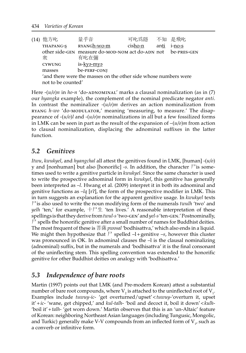| (14) | 他方叱                                                                                   | 量平音                                                          | 可叱為隱 不知 是飛叱 |      |        |  |
|------|---------------------------------------------------------------------------------------|--------------------------------------------------------------|-------------|------|--------|--|
|      | THAPANG-S                                                                             | RYANGh-wo-m                                                  | cisho-n     | anti | i-no-s |  |
|      |                                                                                       | other side-GEN measure do-MOD-NOM act do-ADN not be-PRES-GEN |             |      |        |  |
|      | 衆                                                                                     | 有叱在彌                                                         |             |      |        |  |
|      | <b>CYWUNG</b>                                                                         | is-kya-mya                                                   |             |      |        |  |
|      | masses                                                                                | be-PERF-CONJ                                                 |             |      |        |  |
|      | 'and there were the masses on the other side whose numbers were<br>not to be counted' |                                                              |             |      |        |  |
|      |                                                                                       |                                                              |             |      |        |  |

Here  $-(u/o)n$  in *ho-n* 'do-adnominal' marks a clausal nominalization (as in (7) our *hyangka* example), the complement of the nominal predicate negator *anti*. In contrast the nominalizer ‐(*u/o*)*m* derives an action nominalization from ryang *h‐wo* 'do‐modulator,' meaning 'measuring, to measure.' The disappearance of -(*u/o*)*l* and -(*u/o*)*n* nominalizations in all but a few fossilized forms in LMK can be seen in part as the result of the expansion of –(*u/o*)*m* from action to clausal nominalization, displacing the adnominal suffixes in the latter function*.*

## *5.2 Genitives*

*Itwu*, *kwukyel*, and *hyangchal* all attest the genitives found in LMK, [human] ‐(*u/o*) y and [nonhuman] but also [honorific]  $-s$ . In addition, the character  $\Box$  is sometimes used to write a genitive particle in *kwukyel*. Since the same character is used to write the prospective adnominal form in *kwukyel*, this genitive has generally been interpreted as –*l*. Hwang et al. (2009) interpret it in both its adnominal and genitive functions as –*lq* [rʔ], the form of the prospective modifier in LMK. This in turn suggests an explanation for the apparent genitive usage. In *kwukyel* texts 尸is also used to write the noun modifying form of the numerals *twulh* 'two' and *yelh* 'ten,' for example,  $\pm$   $\pm$  'ten lives.' A reasonable interpretation of these spellings is that they derive from *twul-s* 'two-GEN' and *yel-s* 'ten-GEN.' Postnominally,  $\Box$  spells the honorific genitive after a small number of names for Buddhist deities. The most frequent of these is 菩薩 *pwosal* 'bodhisattva,' which also ends in a liquid. We might then hypothesize that  $\Box$  spelled  $-\bot$  genitive  $-\infty$ , however this cluster was pronounced in OK. In adnominal clauses the –l is the clausal nominalizing (adnominal) suffix, but in the numerals and 'bodhisattva' it is the final consonant of the uninflecting stem. This spelling convention was extended to the honorific genitive for other Buddhist deities on analogy with 'bodhisattva.'

## *5.3 Independence of bare roots*

Martin (1997) points out that LMK (and Pre‐modern Korean) attest a substantial number of bare root compounds, where  $V_2$  is attached to the uninflected root of  $V_1$ . Examples include *tuwuy‐ic*‐ 'get overturned/upset'<*tuwuy*‐'overturn it, upset it'+*ic*‐ 'wane, get chipped,' and *kul‐talh*‐ 'boil and decoct it, boil it down'<*kulh*‐ 'boil it'+*talh*‐ 'get worn down.' Martin observes that this is an 'un‐Altaic' feature of Korean: neighboring Northeast Asian languages (including Tungusic, Mongolic, and Turkic) generally make V-V compounds from an inflected form of  $V_{1'}$  such as a converb or infinitive form.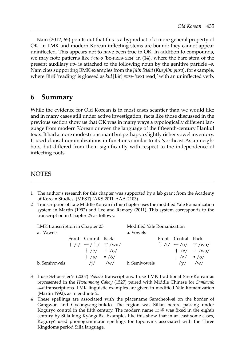Nam (2012, 65) points out that this is a byproduct of a more general property of OK. In LMK and modern Korean inflecting stems are bound: they cannot appear uninflected. This appears not to have been true in OK. In addition to compounds, we may note patterns like *i*-no-s 'be-pres-GEN' in (14), where the bare stem of the present auxiliary *no*‐ is attached to the following noun by the genitive particle –*s*. Nam cites supporting EMK examples from the *Jīlín lèishì* (*Kyeylim yusa*), for example, where 讀書 'reading' is glossed as *kul* [kir] *pwo*- 'text read,' with an uninflected verb.

## **6 Summary**

While the evidence for Old Korean is in most cases scantier than we would like and in many cases still under active investigation, facts like those discussed in the previous section show us that OK was in many ways a typologically different language from modern Korean or even the language of the fifteenth‐century Hankul texts. It had a more modest consonant but perhaps a slightly richer vowel inventory. It used clausal nominalizations in functions similar to its Northeast Asian neighbors, but differed from them significantly with respect to the independence of inflecting roots.

#### **NOTES**

- 1 The author's research for this chapter was supported by a lab grant from the Academy of Korean Studies, (MEST) (AKS-2011-AAA-2103).
- 2 Transcription of Late Middle Korean in this chapter uses the modified Yale Romanization system in Martin (1992) and Lee and Ramsey (2011). This system corresponds to the transcription in Chapter 25 as follows:

| LMK transcription in Chapter 25 |  |                                 |                                      | Modified Yale Romanization |  |                                 |                                     |
|---------------------------------|--|---------------------------------|--------------------------------------|----------------------------|--|---------------------------------|-------------------------------------|
| a. Vowels                       |  |                                 |                                      | a. Vowels                  |  |                                 |                                     |
|                                 |  | Front Central Back              |                                      |                            |  | Front Central Back              |                                     |
|                                 |  |                                 | /i/ $-$ / $\frac{1}{7}$ / $\pi$ /wu/ |                            |  |                                 | $\int$ /i/ $-\int$ /u/ $-\int$ /wu/ |
|                                 |  | $1/e/$ $\rightarrow$ /0/        |                                      |                            |  |                                 | $\frac{1}{2}$ /e/ $\pm$ /wo/        |
|                                 |  | $\frac{1}{2}$ /a/ $\bullet$ /6/ |                                      |                            |  | $\frac{1}{2}$ /a/ $\bullet$ /o/ |                                     |
| b. Semiyowels                   |  |                                 | $\sqrt{i}$ /w/                       | b. Semivowels              |  |                                 | $\sqrt{v}$ $\sqrt{w}$               |

- 3 I use Schuessler's (2007) *Weizhi* transcriptions. I use LMK traditional Sino‐Korean as represented in the *Hwunmong Cahoy* (1527) paired with Middle Chinese for *Samkwuk saki.*transcriptions. LMK linguistic examples are given in modified Yale Romanization (Martin 1992), as in endnote 2.
- 4 These spellings are associated with the placename Samcheok‐si on the border of Gangwon and Gyeongsang‐bukdo. The region was Sillan before passing under Koguryŏ control in the fifth century. The modern name 三陟 was fixed in the eighth century by Silla king Kyŏngdŏk. Examples like this show that in at least some cases, Koguryŏ used phonogrammatic spellings for toponyms associated with the Three Kingdoms period Silla language.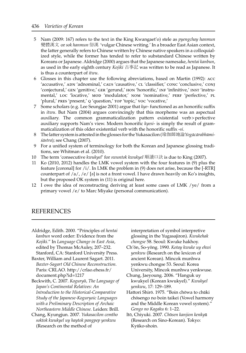- 5 Nam (2009: 167) refers to the text in the King Kwangaet'o) stele as *pyengchay hanmun* 變體漢文 or *sok hanmun* 俗漢 'vulgar Chinese writing.' In a broader East Asian context, the latter generally refers to Chinese written by Chinese native speakers in a colloquialized style, while the former has tended to refer to substandard Chinese written by Koreans or Japanese. Aldridge (2000) argues that the Japanese namesake, *hentai kanbun*, as used in the early eighth century *Kojiki* 古事記 was written to be read as Japanese. It is thus a counterpart of *itwu*.
- 6 Glosses in this chapter use the following abreviations, based on Martin (1992): acc 'accusative,' ADN 'adnominal,' CAUS 'causative,' CL 'classifier,' CONC 'conclusive,' CONJ 'conjectural,' GEN 'genitive,' GER 'gerund,' HON 'honorific,' INF 'infinitive,' INST 'instrumental,' LOC 'locative,' MOD 'modulator,' NOM 'nominative,' PERF 'perfective,' PL 'plural,' pres 'present,' q 'question,' top 'topic,' voc 'vocative,'
- 7 Some scholars (e.g. Lee Seungjae 2001) argue that *kye*‐ functioned as an honorific suffix in *itwu*. But Nam (2004) argues convincingly that this morpheme was an aspectual auxiliary. The common grammaticalization pattern existential verb>perfective auxiliary supports Nam's view. Modern honorific *kyesi*‐ is simply the result of grammaticalization of this older existential verb with the honorific suffix ‐*si*.
- 8 The latter system is attested in the glosses for the Yukasacilon (瑜伽師地論*Yogācārabhūmi‐ śāstra*); see Chang (2007).
- 9 For a unified system of terminology for both the Korean and Japanese glossing traditions, see Whitman et al. (2010).
- 10 The term 'consecutive *kwukyel*' for *swuntok kwukyel* 順讀口訣 is due to King (2007).
- 11 Ko (2010, 2012) handles the LMK vowel system with the four features in (9) plus the feature [coronal] for  $/i$ . In LMK the problem in (9) does not arise, because the [-RTR] counterpart of /a/, /e/ [ə] is not a front vowel. I have drawn heavily on Ko's insights, but the proposed OK system in (11) is original here.
- 12 I owe the idea of reconstructing deriving at least some cases of LMK /ye/ from a primary vowel /e/ to Marc Miyake (personal communication).

#### **REFERENCES**

- Aldridge, Edith. 2000. "Principles of *hentai kanbun* word order: Evidence from the *Kojiki*." In *Language Change in East Asia*, edited by Thomas McAuley, 207–232. Stanford, CA: Stanford University Press.
- Baxter, William and Laurent Sagart. 2011. *Baxter‐Sagart Old Chinese Reconstruction*. Paris: CRLAO. http://crlao.ehess.fr/ document.php?id=1217
- Beckwith, C. 2007. *Kogury*ŏ*, The Language of Japan's Continental Relatives: An Introduction to the Historical‐Comparative Study of the Japanese‐Koguryoic Languages with a Preliminary Description of Archaic Northeastern Middle Chinese.* Leiden: Brill.
- Chang, Kyungjun. 2007. *Yukasacilon cemtho soktok kwukyel uy haytok pangpep yenkwu*  (Research on the method of

interpretation of symbol interpretive glossing in the Yugasajiron). *Kwukehak chongse* 58. Seoul: Kwuke hakhoy.

- Ch'ŏn, So‐yŏng. 1990. *Kotay kwuke uy ehwi yenkwu* (Research on the lexicon of ancient Korean). Mincok munhwa yenkwu chongse 53. Seoul: Korea University, Mincok munhwa yenkwuse.
- Chung, Jaeyoung. 2006. "Hanguk uy kwukyel (Korean kwukyel)." *Kwukyel yenkwu*, 17: 129–189.
- Hattori Shirō. 1975. "Boin chōwa to chūki chōsengo no boin taikei (Vowel harmony and the Middle Korean vowel system)." *Gengo no Kagaku* 6: 1–22.
- Itō, Chiyuki. 2007. *Ch*ō*sen kanjion kenky*ū (Research on Sino‐Korean). Tokyo: Kyūko‐shoin.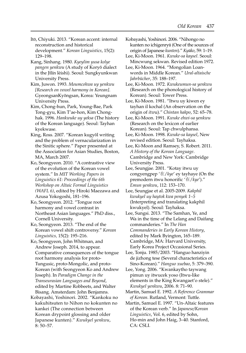- Itō, Chiyuki. 2013. "Korean accent: internal reconstruction and historical development." *Korean Linguistics*, 15(2): 129–198.
- Kang, Sinhang. 1980. *Kyeylim yusa kolye pangen yenkwu* (A study of Koryŏ dialect in the Jīlín lèishì). Seoul: Sungkyunkwan University Press.
- Kim, Juwon. 1993. *Moumcohwa uy yenkwu [Research on vowel harmony in Korean]*. GyeongsanKyŏngsan, Korea: Yeungnam University Press.
- Kim, Chong‐hun, Park, Young‐Bae, Park Tong‐gyu, Kim T'ae‐hon, Kim Chong‐ hak. 1996. *Hankwuke uy yeksa* (The history of the Korean language). Seoul: Tayhan kyekwase.
- King, Ross. 2007. "Korean kugyŏl writing and the problem of vernacularization in the Sinitic sphere." Paper presented at the Association for Asian Studies, Boston, MA, March 2007.
- Ko, Seongyeon. 2010. "A contrastive view of the evolution of the Korean vowel system." In *MIT Working Papers in Linguistics 61: Proceedings of the 6th Workshop on Altaic Formal Linguistics (WAFL 6)*, edited by Hiroki Maezawa and Azusa Yokogoshi, 181–196.
- Ko, Seongyeon. 2012. "Tongue root harmony and vowel contrast in Northeast Asian languages." PhD diss., Cornell University.
- Ko, Seongyeon. 2013. "The end of the Korean vowel shift controversy." *Korean Linguistics,* 15(2): 195–216.
- Ko, Seongyeon, John Whitman, and Andrew Joseph. 2014, to appear. Comparative consequences of the tongue root harmony analysis for proto‐ Tungusic, proto‐Mongolic, and proto‐ Korean (with Seongyeon Ko and Andrew Joseph). In *Paradigm Change in the Transeurasian Languages and Beyond*, edited by Martine Robbeets, and Walter Bisang*.* Amsterdam: John Benjamns.
- Kobayashi, Yoshinori. 2002. "Kankoku no kakuhitsuten to Nihon no kokunten no kankei (The connection between Korean drypoint glossing and older Japanese kunten)." *Kwukyel yenkwu*, 8: 50–57.
- Kobayashi, Yoshinori. 2006. "Nihongo no kunten no ichigenryū (One of the sources of origin of Japanese *kunten*)." *Kyūko*, 59: 1–19.
- Lee, Ki‐Moon. 1961. *Kwuke‐sa kaysel*. Seoul: Mincwung sekwan. Revised edition 1972.
- Lee, Ki‐Moon. 1964. "Mongolian Loan‐ words in Middle Korean." *Ural‐altaische Jahrbücher*, 35: 188–197.
- Lee, Ki‐Moon. 1972. *Kwukeumun‐sa yenkwu*  (Research on the phonological history of Korean). Seoul: Tower Press.
- Lee, Ki‐Moon. 1981. "Itwu uy kiwen ey tayhan il kochal (An observation on the origin of *itw*u)." *Chintan hakpo*, 52: 65–78.
- Lee, Ki‐Moon. 1991. *Kwuke ehwi‐sa yenkwu*  (Research on the lexicon of earlier Korean). Seoul: Tap chwulphansa.
- Lee, Ki‐Moon. 1998. *Kwuke‐sa kaysel*, New revised edition. Seoul: Tayhaksa.
- Lee, Ki‐Moon and Ramsey, S. Robert. 2011. *A History of the Korean Language*. Cambridge and New York: Cambridge University Press.
- Lee, Seungjae. 2001. "Kotay itwu uy congyengpep '在/*kye*' ey tayhaye (On the premodern itwu honorific '在/*kye*')." *Emun yenkwu*, 112: 153–170.
- Lee, Seungjae et al. 2005‐2009. *Kakphil kwukyel uy haytok kwa penyek 1–5*  (Interpreting and translating kakphil kwukyel). Seoul: Tayhaksa.
- Lee, Sungsi. 2013. "The Samhan, Ye, and Wa in the time of the Lelang and Daifang commanderies." In *The Han Commanderies in Early Korean History*, edited by Mark Byington, 165–189. Cambridge, MA: Harvard University, Early Korea Project Occasional Series.
- Lee, Tonju. 1985/2003. "Hanguo hanziyin de jizhong tese (Several characteristics of Sino‐Korean)." *Hanguo xuebao*, 5: 379–390.
- Lee, Yong. 2006. "Kwankaytho taywang pimun uy itwucek yoso (Itwu‐like elements in the King Kwangaet'o stele)." *Kwukyel yenkwu*, 2006. 8: 71–90.
- Martin, Samuel E. 1992. *A Reference Grammar of Korean*. Rutland, Vermont: Tuttle.
- Martin, Samuel E. 1997. "Un‐Altaic features of the Korean verb." In *Japanese/Korean Linguistics*, Vol. 6, edited by Sohn, Ho‐min and John Haig, 3–40. Stanford, CA: CSLI.